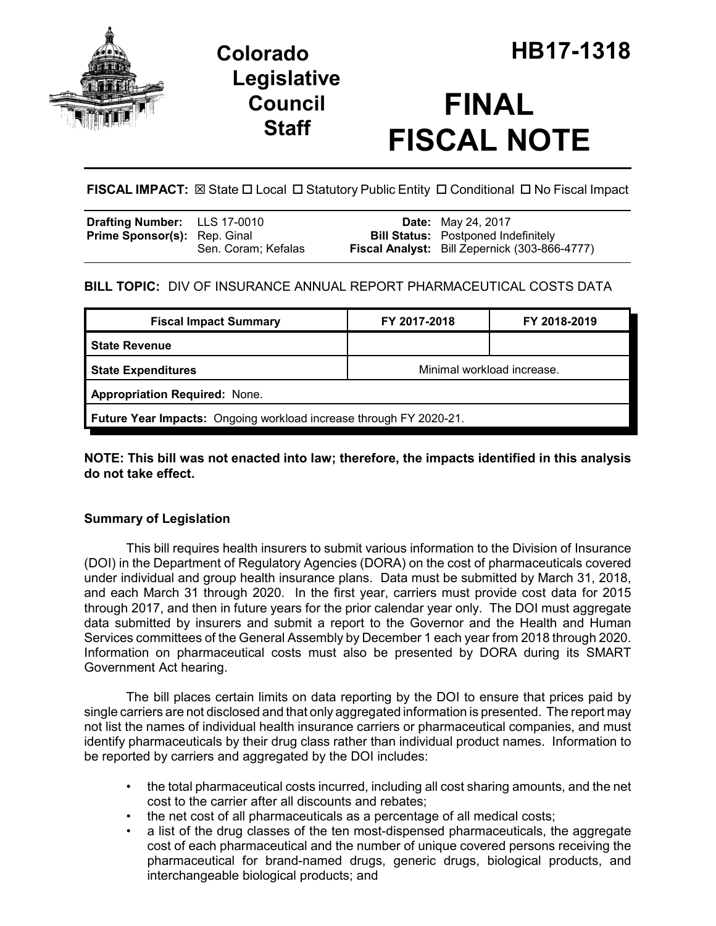

## **Legislative Council Staff**

# **FINAL FISCAL NOTE**

**FISCAL IMPACT:** ⊠ State □ Local □ Statutory Public Entity □ Conditional □ No Fiscal Impact

| <b>Drafting Number:</b> LLS 17-0010 |                     | <b>Date:</b> May 24, 2017                                                                   |
|-------------------------------------|---------------------|---------------------------------------------------------------------------------------------|
| <b>Prime Sponsor(s):</b> Rep. Ginal | Sen. Coram; Kefalas | <b>Bill Status:</b> Postponed Indefinitely<br>Fiscal Analyst: Bill Zepernick (303-866-4777) |
|                                     |                     |                                                                                             |

## **BILL TOPIC:** DIV OF INSURANCE ANNUAL REPORT PHARMACEUTICAL COSTS DATA

| <b>Fiscal Impact Summary</b>                                              | FY 2017-2018               | FY 2018-2019 |  |  |  |
|---------------------------------------------------------------------------|----------------------------|--------------|--|--|--|
| <b>State Revenue</b>                                                      |                            |              |  |  |  |
| <b>State Expenditures</b>                                                 | Minimal workload increase. |              |  |  |  |
| <b>Appropriation Required: None.</b>                                      |                            |              |  |  |  |
| <b>Future Year Impacts:</b> Ongoing workload increase through FY 2020-21. |                            |              |  |  |  |

### **NOTE: This bill was not enacted into law; therefore, the impacts identified in this analysis do not take effect.**

## **Summary of Legislation**

This bill requires health insurers to submit various information to the Division of Insurance (DOI) in the Department of Regulatory Agencies (DORA) on the cost of pharmaceuticals covered under individual and group health insurance plans. Data must be submitted by March 31, 2018, and each March 31 through 2020. In the first year, carriers must provide cost data for 2015 through 2017, and then in future years for the prior calendar year only. The DOI must aggregate data submitted by insurers and submit a report to the Governor and the Health and Human Services committees of the General Assembly by December 1 each year from 2018 through 2020. Information on pharmaceutical costs must also be presented by DORA during its SMART Government Act hearing.

The bill places certain limits on data reporting by the DOI to ensure that prices paid by single carriers are not disclosed and that only aggregated information is presented. The report may not list the names of individual health insurance carriers or pharmaceutical companies, and must identify pharmaceuticals by their drug class rather than individual product names. Information to be reported by carriers and aggregated by the DOI includes:

- the total pharmaceutical costs incurred, including all cost sharing amounts, and the net cost to the carrier after all discounts and rebates;
- the net cost of all pharmaceuticals as a percentage of all medical costs;
- a list of the drug classes of the ten most-dispensed pharmaceuticals, the aggregate cost of each pharmaceutical and the number of unique covered persons receiving the pharmaceutical for brand-named drugs, generic drugs, biological products, and interchangeable biological products; and